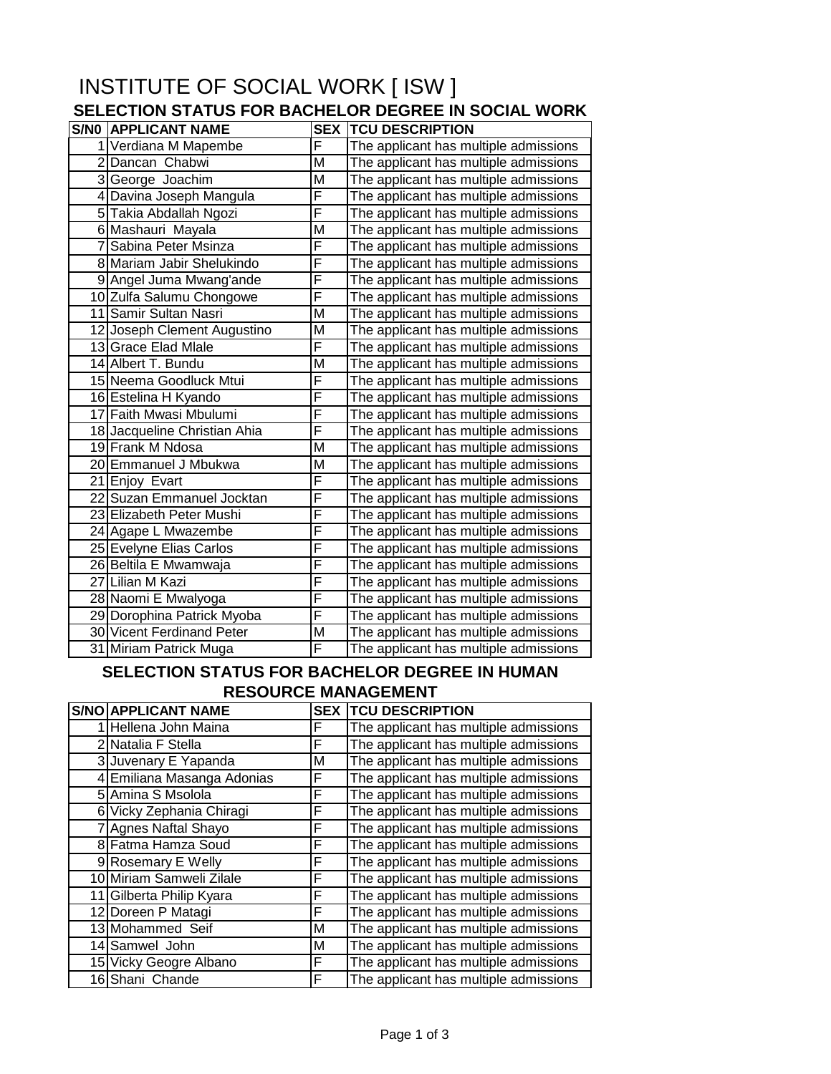## INSTITUTE OF SOCIAL WORK [ ISW ] **SELECTION STATUS FOR BACHELOR DEGREE IN SOCIAL WORK**

| <b>S/NO APPLICANT NAME</b>       | <b>SEX</b>     | <b>TCU DESCRIPTION</b>                |
|----------------------------------|----------------|---------------------------------------|
| 1 Verdiana M Mapembe             | F              | The applicant has multiple admissions |
| 2 Dancan Chabwi                  | M              | The applicant has multiple admissions |
| 3 George Joachim                 | M              | The applicant has multiple admissions |
| 4 Davina Joseph Mangula          | F              | The applicant has multiple admissions |
| 5 Takia Abdallah Ngozi           | F              | The applicant has multiple admissions |
| 6 Mashauri Mayala                | M              | The applicant has multiple admissions |
| 7 Sabina Peter Msinza            | F              | The applicant has multiple admissions |
| 8 Mariam Jabir Shelukindo        | F              | The applicant has multiple admissions |
| 9 Angel Juma Mwang'ande          | F              | The applicant has multiple admissions |
| 10 Zulfa Salumu Chongowe         | F              | The applicant has multiple admissions |
| 11 Samir Sultan Nasri            | $\overline{M}$ | The applicant has multiple admissions |
| 12 Joseph Clement Augustino      | M              | The applicant has multiple admissions |
| 13 Grace Elad Mlale              | F              | The applicant has multiple admissions |
| 14 Albert T. Bundu               | M              | The applicant has multiple admissions |
| 15 Neema Goodluck Mtui           | F              | The applicant has multiple admissions |
| 16 Estelina H Kyando             | F              | The applicant has multiple admissions |
| 17 Faith Mwasi Mbulumi           | F              | The applicant has multiple admissions |
| 18 Jacqueline Christian Ahia     | F              | The applicant has multiple admissions |
| 19 Frank M Ndosa                 | M              | The applicant has multiple admissions |
| 20 Emmanuel J Mbukwa             | M              | The applicant has multiple admissions |
| 21 Enjoy Evart                   | F              | The applicant has multiple admissions |
| 22 Suzan Emmanuel Jocktan        | F              | The applicant has multiple admissions |
| 23 Elizabeth Peter Mushi         | F              | The applicant has multiple admissions |
| 24 Agape L Mwazembe              | F              | The applicant has multiple admissions |
| 25 Evelyne Elias Carlos          | F              | The applicant has multiple admissions |
| 26 Beltila E Mwamwaja            | F              | The applicant has multiple admissions |
| 27 Lilian M Kazi                 | F              | The applicant has multiple admissions |
| 28 Naomi E Mwalyoga              | F              | The applicant has multiple admissions |
| 29 Dorophina Patrick Myoba       | F              | The applicant has multiple admissions |
| <b>30 Vicent Ferdinand Peter</b> | M              | The applicant has multiple admissions |
| 31 Miriam Patrick Muga           | F              | The applicant has multiple admissions |

## **SELECTION STATUS FOR BACHELOR DEGREE IN HUMAN RESOURCE MANAGEMENT**

|    | <b>S/NO APPLICANT NAME</b> | <b>SEX</b> | <b>TCU DESCRIPTION</b>                |
|----|----------------------------|------------|---------------------------------------|
|    | Hellena John Maina         | F          | The applicant has multiple admissions |
|    | 2 Natalia F Stella         | F          | The applicant has multiple admissions |
|    | 3 Juvenary E Yapanda       | M          | The applicant has multiple admissions |
|    | 4 Emiliana Masanga Adonias | F          | The applicant has multiple admissions |
|    | 5 Amina S Msolola          | F          | The applicant has multiple admissions |
|    | 6 Vicky Zephania Chiragi   | F          | The applicant has multiple admissions |
|    | Agnes Naftal Shayo         | F          | The applicant has multiple admissions |
|    | 8 Fatma Hamza Soud         | F          | The applicant has multiple admissions |
|    | 9 Rosemary E Welly         | F          | The applicant has multiple admissions |
|    | 10 Miriam Samweli Zilale   | F          | The applicant has multiple admissions |
| 11 | Gilberta Philip Kyara      | F          | The applicant has multiple admissions |
|    | 12 Doreen P Matagi         | F          | The applicant has multiple admissions |
|    | 13 Mohammed Seif           | м          | The applicant has multiple admissions |
|    | 14 Samwel John             | м          | The applicant has multiple admissions |
|    | 15 Vicky Geogre Albano     | F          | The applicant has multiple admissions |
|    | 16 Shani Chande            | F          | The applicant has multiple admissions |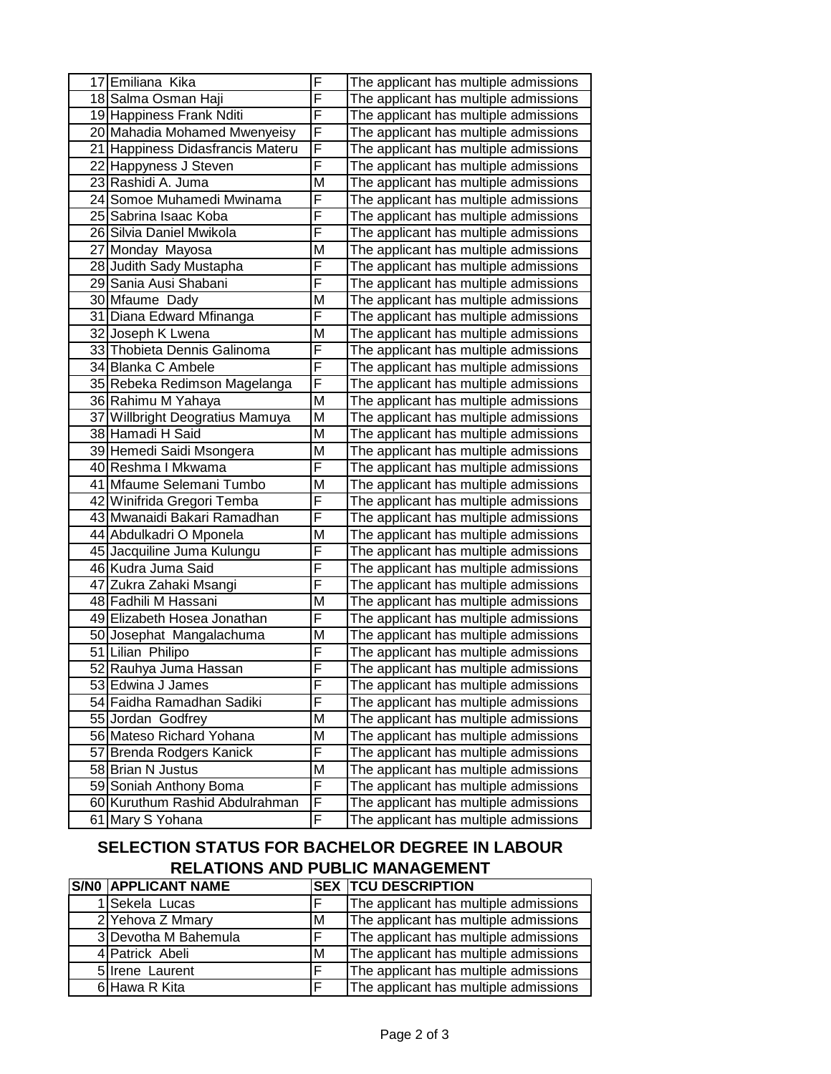| 17 Emiliana Kika                 | F | The applicant has multiple admissions |
|----------------------------------|---|---------------------------------------|
| 18 Salma Osman Haji              | F | The applicant has multiple admissions |
| 19 Happiness Frank Nditi         | F | The applicant has multiple admissions |
| 20 Mahadia Mohamed Mwenyeisy     | F | The applicant has multiple admissions |
| 21 Happiness Didasfrancis Materu | F | The applicant has multiple admissions |
| 22 Happyness J Steven            | F | The applicant has multiple admissions |
| 23 Rashidi A. Juma               | M | The applicant has multiple admissions |
| 24 Somoe Muhamedi Mwinama        | F | The applicant has multiple admissions |
| 25 Sabrina Isaac Koba            | F | The applicant has multiple admissions |
| 26 Silvia Daniel Mwikola         | F | The applicant has multiple admissions |
| 27 Monday Mayosa                 | M | The applicant has multiple admissions |
| 28 Judith Sady Mustapha          | F | The applicant has multiple admissions |
| 29 Sania Ausi Shabani            | F | The applicant has multiple admissions |
| 30 Mfaume Dady                   | M | The applicant has multiple admissions |
| 31 Diana Edward Mfinanga         | F | The applicant has multiple admissions |
| 32 Joseph K Lwena                | M | The applicant has multiple admissions |
| 33 Thobieta Dennis Galinoma      | F | The applicant has multiple admissions |
| 34 Blanka C Ambele               | F | The applicant has multiple admissions |
| 35 Rebeka Redimson Magelanga     | F | The applicant has multiple admissions |
| 36 Rahimu M Yahaya               | M | The applicant has multiple admissions |
| 37 Willbright Deogratius Mamuya  | M | The applicant has multiple admissions |
| 38 Hamadi H Said                 | M | The applicant has multiple admissions |
| 39 Hemedi Saidi Msongera         | M | The applicant has multiple admissions |
| 40 Reshma I Mkwama               | F | The applicant has multiple admissions |
| 41 Mfaume Selemani Tumbo         | M | The applicant has multiple admissions |
| 42 Winifrida Gregori Temba       | F | The applicant has multiple admissions |
| 43 Mwanaidi Bakari Ramadhan      | F | The applicant has multiple admissions |
| 44 Abdulkadri O Mponela          | M | The applicant has multiple admissions |
| 45 Jacquiline Juma Kulungu       | F | The applicant has multiple admissions |
| 46 Kudra Juma Said               | F | The applicant has multiple admissions |
| 47 Zukra Zahaki Msangi           | F | The applicant has multiple admissions |
| 48 Fadhili M Hassani             | M | The applicant has multiple admissions |
| 49 Elizabeth Hosea Jonathan      | F | The applicant has multiple admissions |
| 50 Josephat Mangalachuma         | M | The applicant has multiple admissions |
| 51 Lilian Philipo                | F | The applicant has multiple admissions |
| 52 Rauhya Juma Hassan            | F | The applicant has multiple admissions |
| 53 Edwina J James                | F | The applicant has multiple admissions |
| 54 Faidha Ramadhan Sadiki        | F | The applicant has multiple admissions |
| 55 Jordan Godfrey                | M | The applicant has multiple admissions |
| 56 Mateso Richard Yohana         | M | The applicant has multiple admissions |
| 57 Brenda Rodgers Kanick         | F | The applicant has multiple admissions |
| 58 Brian N Justus                | M | The applicant has multiple admissions |
| 59 Soniah Anthony Boma           | F | The applicant has multiple admissions |
| 60 Kuruthum Rashid Abdulrahman   | F | The applicant has multiple admissions |
| 61 Mary S Yohana                 | F | The applicant has multiple admissions |

## **SELECTION STATUS FOR BACHELOR DEGREE IN LABOUR RELATIONS AND PUBLIC MANAGEMENT**

| <b>S/NO APPLICANT NAME</b> |   | <b>SEX TCU DESCRIPTION</b>            |
|----------------------------|---|---------------------------------------|
| 1 Sekela Lucas             |   | The applicant has multiple admissions |
| 2 Yehova Z Mmary           | М | The applicant has multiple admissions |
| 3 Devotha M Bahemula       |   | The applicant has multiple admissions |
| 4 Patrick Abeli            | М | The applicant has multiple admissions |
| 51 Irene Laurent           |   | The applicant has multiple admissions |
| 6 Hawa R Kita              |   | The applicant has multiple admissions |
|                            |   |                                       |